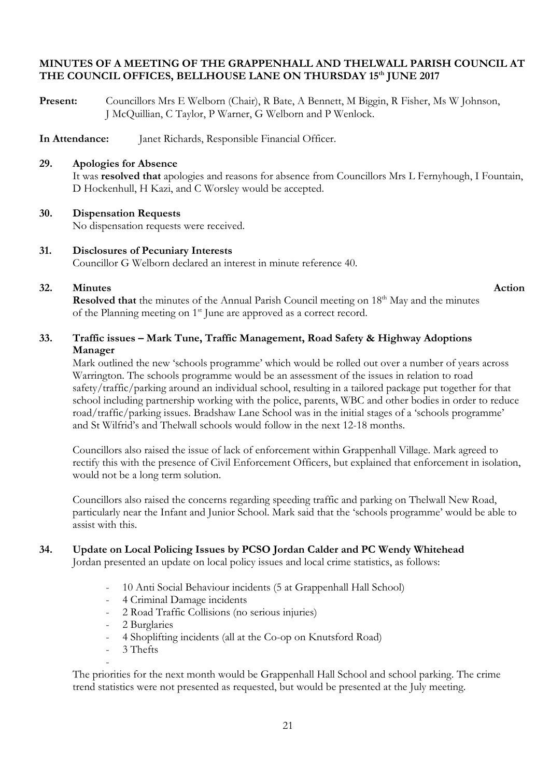### **MINUTES OF A MEETING OF THE GRAPPENHALL AND THELWALL PARISH COUNCIL AT THE COUNCIL OFFICES, BELLHOUSE LANE ON THURSDAY 15th JUNE 2017**

**Present:** Councillors Mrs E Welborn (Chair), R Bate, A Bennett, M Biggin, R Fisher, Ms W Johnson, J McQuillian, C Taylor, P Warner, G Welborn and P Wenlock.

**In Attendance:** Janet Richards, Responsible Financial Officer.

### **29. Apologies for Absence**

It was **resolved that** apologies and reasons for absence from Councillors Mrs L Fernyhough, I Fountain, D Hockenhull, H Kazi, and C Worsley would be accepted.

### **30. Dispensation Requests**

No dispensation requests were received.

# **31. Disclosures of Pecuniary Interests**

Councillor G Welborn declared an interest in minute reference 40.

## **32.** Minutes Action

**Resolved that** the minutes of the Annual Parish Council meeting on 18<sup>th</sup> May and the minutes of the Planning meeting on  $1<sup>st</sup>$  June are approved as a correct record.

## **33. Traffic issues – Mark Tune, Traffic Management, Road Safety & Highway Adoptions Manager**

Mark outlined the new 'schools programme' which would be rolled out over a number of years across Warrington. The schools programme would be an assessment of the issues in relation to road safety/traffic/parking around an individual school, resulting in a tailored package put together for that school including partnership working with the police, parents, WBC and other bodies in order to reduce road/traffic/parking issues. Bradshaw Lane School was in the initial stages of a 'schools programme' and St Wilfrid's and Thelwall schools would follow in the next 12-18 months.

Councillors also raised the issue of lack of enforcement within Grappenhall Village. Mark agreed to rectify this with the presence of Civil Enforcement Officers, but explained that enforcement in isolation, would not be a long term solution.

Councillors also raised the concerns regarding speeding traffic and parking on Thelwall New Road, particularly near the Infant and Junior School. Mark said that the 'schools programme' would be able to assist with this.

## **34. Update on Local Policing Issues by PCSO Jordan Calder and PC Wendy Whitehead**

Jordan presented an update on local policy issues and local crime statistics, as follows:

- 10 Anti Social Behaviour incidents (5 at Grappenhall Hall School)
- 4 Criminal Damage incidents
- 2 Road Traffic Collisions (no serious injuries)
- 2 Burglaries
- 4 Shoplifting incidents (all at the Co-op on Knutsford Road)
- 3 Thefts

- The priorities for the next month would be Grappenhall Hall School and school parking. The crime trend statistics were not presented as requested, but would be presented at the July meeting.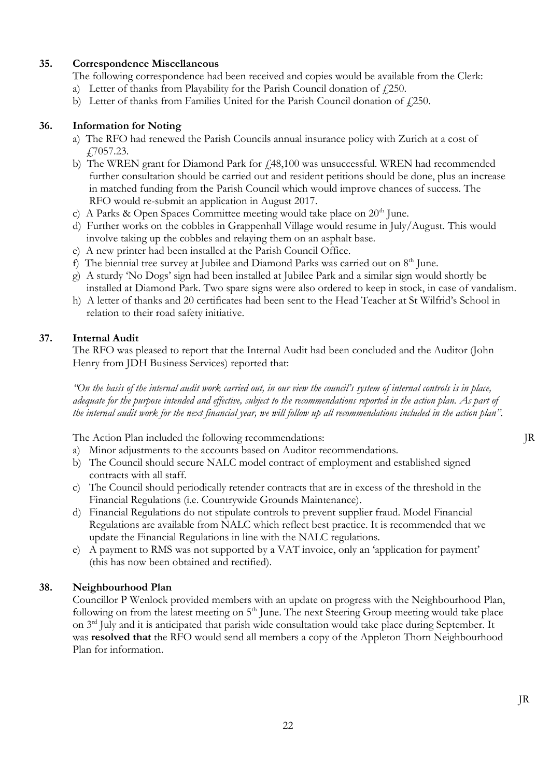## **35. Correspondence Miscellaneous**

- The following correspondence had been received and copies would be available from the Clerk:
- a) Letter of thanks from Playability for the Parish Council donation of  $\ell$ 250.
- b) Letter of thanks from Families United for the Parish Council donation of  $\ell$ 250.

### **36. Information for Noting**

- a) The RFO had renewed the Parish Councils annual insurance policy with Zurich at a cost of £7057.23.
- b) The WREN grant for Diamond Park for  $f<sub>1</sub>48,100$  was unsuccessful. WREN had recommended further consultation should be carried out and resident petitions should be done, plus an increase in matched funding from the Parish Council which would improve chances of success. The RFO would re-submit an application in August 2017.
- c) A Parks & Open Spaces Committee meeting would take place on  $20<sup>th</sup>$  June.
- d) Further works on the cobbles in Grappenhall Village would resume in July/August. This would involve taking up the cobbles and relaying them on an asphalt base.
- e) A new printer had been installed at the Parish Council Office.
- f) The biennial tree survey at Jubilee and Diamond Parks was carried out on  $8<sup>th</sup>$  June.
- g) A sturdy 'No Dogs' sign had been installed at Jubilee Park and a similar sign would shortly be installed at Diamond Park. Two spare signs were also ordered to keep in stock, in case of vandalism.
- h) A letter of thanks and 20 certificates had been sent to the Head Teacher at St Wilfrid's School in relation to their road safety initiative.

## **37. Internal Audit**

The RFO was pleased to report that the Internal Audit had been concluded and the Auditor (John Henry from JDH Business Services) reported that:

*"On the basis of the internal audit work carried out, in our view the council's system of internal controls is in place, adequate for the purpose intended and effective, subject to the recommendations reported in the action plan. As part of the internal audit work for the next financial year, we will follow up all recommendations included in the action plan".*

The Action Plan included the following recommendations: JR

- a) Minor adjustments to the accounts based on Auditor recommendations.
- b) The Council should secure NALC model contract of employment and established signed contracts with all staff.
- c) The Council should periodically retender contracts that are in excess of the threshold in the Financial Regulations (i.e. Countrywide Grounds Maintenance).
- d) Financial Regulations do not stipulate controls to prevent supplier fraud. Model Financial Regulations are available from NALC which reflect best practice. It is recommended that we update the Financial Regulations in line with the NALC regulations.
- e) A payment to RMS was not supported by a VAT invoice, only an 'application for payment' (this has now been obtained and rectified).

## **38. Neighbourhood Plan**

Councillor P Wenlock provided members with an update on progress with the Neighbourhood Plan, following on from the latest meeting on  $5<sup>th</sup>$  June. The next Steering Group meeting would take place on 3rd July and it is anticipated that parish wide consultation would take place during September. It was **resolved that** the RFO would send all members a copy of the Appleton Thorn Neighbourhood Plan for information.

JR